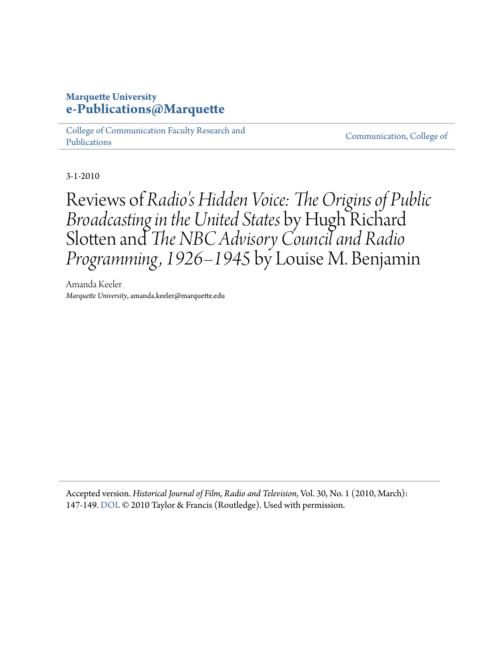## **Marquette University [e-Publications@Marquette](https://epublications.marquette.edu)**

[College of Communication Faculty Research and](https://epublications.marquette.edu/comm_fac) [Publications](https://epublications.marquette.edu/comm_fac)

[Communication, College of](https://epublications.marquette.edu/communication)

3-1-2010

Reviews of *Radio's Hidden Voice: The Origins of Public Broadcasting in the United States* by Hugh Richard Slotten and *The NBC Advisory Council and Radio Programming, 1926–1945* by Louise M. Benjamin

Amanda Keeler *Marquette University*, amanda.keeler@marquette.edu

Accepted version. *Historical Journal of Film, Radio and Television*, Vol. 30, No. 1 (2010, March): 147-149. [DOI.](http://dx.doi.org/10.1080/01439680903577516) © 2010 Taylor & Francis (Routledge). Used with permission.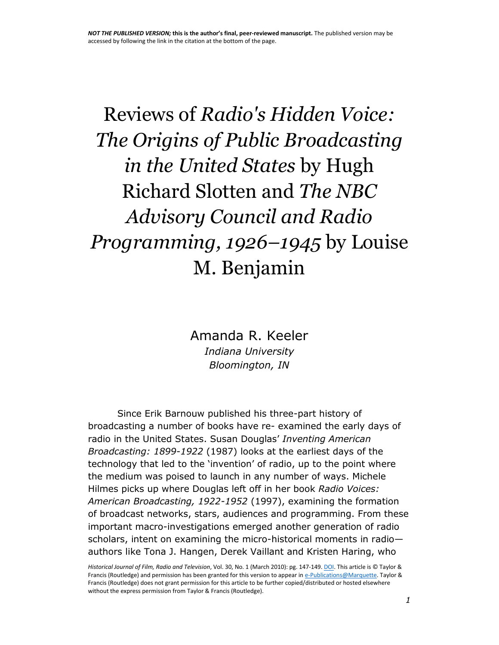## Reviews of *Radio's Hidden Voice: The Origins of Public Broadcasting in the United States* by Hugh Richard Slotten and *The NBC Advisory Council and Radio Programming, 1926–1945* by Louise M. Benjamin

Amanda R. Keeler

*Indiana University Bloomington, IN*

Since Erik Barnouw published his three-part history of broadcasting a number of books have re- examined the early days of radio in the United States. Susan Douglas' *Inventing American Broadcasting: 1899-1922* (1987) looks at the earliest days of the technology that led to the 'invention' of radio, up to the point where the medium was poised to launch in any number of ways. Michele Hilmes picks up where Douglas left off in her book *Radio Voices: American Broadcasting, 1922-1952* (1997), examining the formation of broadcast networks, stars, audiences and programming. From these important macro-investigations emerged another generation of radio scholars, intent on examining the micro-historical moments in radio authors like Tona J. Hangen, Derek Vaillant and Kristen Haring, who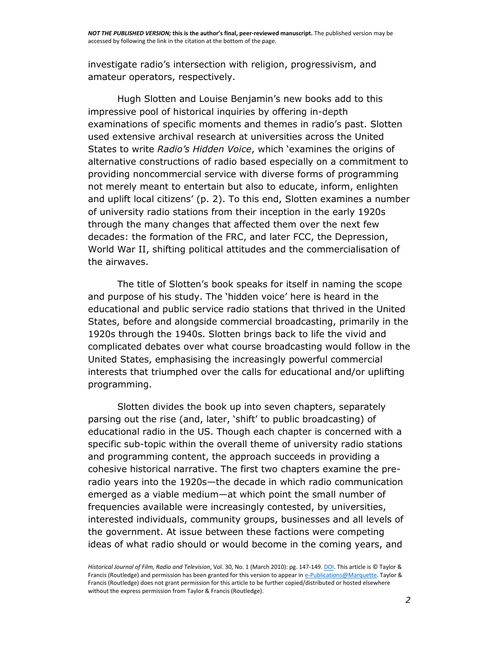investigate radio's intersection with religion, progressivism, and amateur operators, respectively.

Hugh Slotten and Louise Benjamin's new books add to this impressive pool of historical inquiries by offering in-depth examinations of specific moments and themes in radio's past. Slotten used extensive archival research at universities across the United States to write *Radio's Hidden Voice*, which 'examines the origins of alternative constructions of radio based especially on a commitment to providing noncommercial service with diverse forms of programming not merely meant to entertain but also to educate, inform, enlighten and uplift local citizens' (p. 2). To this end, Slotten examines a number of university radio stations from their inception in the early 1920s through the many changes that affected them over the next few decades: the formation of the FRC, and later FCC, the Depression, World War II, shifting political attitudes and the commercialisation of the airwaves.

The title of Slotten's book speaks for itself in naming the scope and purpose of his study. The 'hidden voice' here is heard in the educational and public service radio stations that thrived in the United States, before and alongside commercial broadcasting, primarily in the 1920s through the 1940s. Slotten brings back to life the vivid and complicated debates over what course broadcasting would follow in the United States, emphasising the increasingly powerful commercial interests that triumphed over the calls for educational and/or uplifting programming.

Slotten divides the book up into seven chapters, separately parsing out the rise (and, later, 'shift' to public broadcasting) of educational radio in the US. Though each chapter is concerned with a specific sub-topic within the overall theme of university radio stations and programming content, the approach succeeds in providing a cohesive historical narrative. The first two chapters examine the preradio years into the 1920s—the decade in which radio communication emerged as a viable medium—at which point the small number of frequencies available were increasingly contested, by universities, interested individuals, community groups, businesses and all levels of the government. At issue between these factions were competing ideas of what radio should or would become in the coming years, and

*Historical Journal of Film, Radio and Television*, Vol. 30, No. 1 (March 2010): pg. 147-149[. DOI.](http://dx.doi.org/10.1080/01439680903577516) This article is © Taylor & Francis (Routledge) and permission has been granted for this version to appear i[n e-Publications@Marquette.](http://epublications.marquette.edu/) Taylor & Francis (Routledge) does not grant permission for this article to be further copied/distributed or hosted elsewhere without the express permission from Taylor & Francis (Routledge).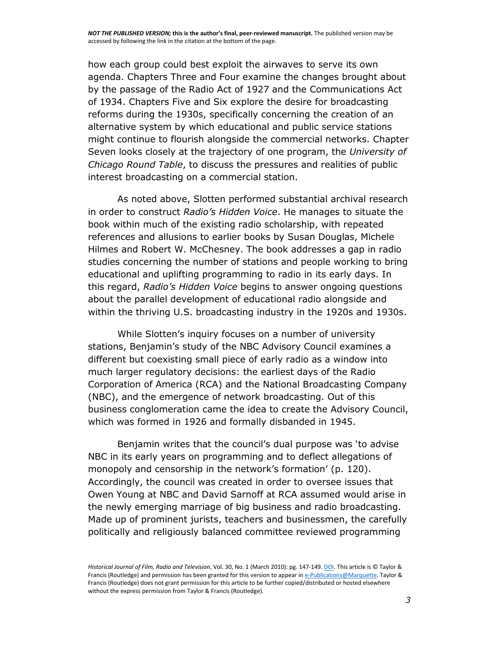how each group could best exploit the airwaves to serve its own agenda. Chapters Three and Four examine the changes brought about by the passage of the Radio Act of 1927 and the Communications Act of 1934. Chapters Five and Six explore the desire for broadcasting reforms during the 1930s, specifically concerning the creation of an alternative system by which educational and public service stations might continue to flourish alongside the commercial networks. Chapter Seven looks closely at the trajectory of one program, the *University of Chicago Round Table*, to discuss the pressures and realities of public interest broadcasting on a commercial station.

As noted above, Slotten performed substantial archival research in order to construct *Radio's Hidden Voice*. He manages to situate the book within much of the existing radio scholarship, with repeated references and allusions to earlier books by Susan Douglas, Michele Hilmes and Robert W. McChesney. The book addresses a gap in radio studies concerning the number of stations and people working to bring educational and uplifting programming to radio in its early days. In this regard, *Radio's Hidden Voice* begins to answer ongoing questions about the parallel development of educational radio alongside and within the thriving U.S. broadcasting industry in the 1920s and 1930s.

While Slotten's inquiry focuses on a number of university stations, Benjamin's study of the NBC Advisory Council examines a different but coexisting small piece of early radio as a window into much larger regulatory decisions: the earliest days of the Radio Corporation of America (RCA) and the National Broadcasting Company (NBC), and the emergence of network broadcasting. Out of this business conglomeration came the idea to create the Advisory Council, which was formed in 1926 and formally disbanded in 1945.

Benjamin writes that the council's dual purpose was 'to advise NBC in its early years on programming and to deflect allegations of monopoly and censorship in the network's formation' (p. 120). Accordingly, the council was created in order to oversee issues that Owen Young at NBC and David Sarnoff at RCA assumed would arise in the newly emerging marriage of big business and radio broadcasting. Made up of prominent jurists, teachers and businessmen, the carefully politically and religiously balanced committee reviewed programming

*Historical Journal of Film, Radio and Television*, Vol. 30, No. 1 (March 2010): pg. 147-149[. DOI.](http://dx.doi.org/10.1080/01439680903577516) This article is © Taylor & Francis (Routledge) and permission has been granted for this version to appear i[n e-Publications@Marquette.](http://epublications.marquette.edu/) Taylor & Francis (Routledge) does not grant permission for this article to be further copied/distributed or hosted elsewhere without the express permission from Taylor & Francis (Routledge).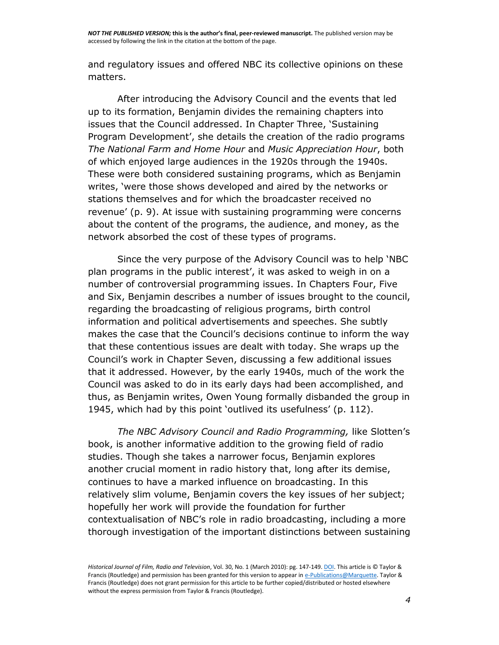*NOT THE PUBLISHED VERSION;* **this is the author's final, peer-reviewed manuscript.** The published version may be accessed by following the link in the citation at the bottom of the page.

and regulatory issues and offered NBC its collective opinions on these matters.

After introducing the Advisory Council and the events that led up to its formation, Benjamin divides the remaining chapters into issues that the Council addressed. In Chapter Three, 'Sustaining Program Development', she details the creation of the radio programs *The National Farm and Home Hour* and *Music Appreciation Hour*, both of which enjoyed large audiences in the 1920s through the 1940s. These were both considered sustaining programs, which as Benjamin writes, 'were those shows developed and aired by the networks or stations themselves and for which the broadcaster received no revenue' (p. 9). At issue with sustaining programming were concerns about the content of the programs, the audience, and money, as the network absorbed the cost of these types of programs.

Since the very purpose of the Advisory Council was to help 'NBC plan programs in the public interest', it was asked to weigh in on a number of controversial programming issues. In Chapters Four, Five and Six, Benjamin describes a number of issues brought to the council, regarding the broadcasting of religious programs, birth control information and political advertisements and speeches. She subtly makes the case that the Council's decisions continue to inform the way that these contentious issues are dealt with today. She wraps up the Council's work in Chapter Seven, discussing a few additional issues that it addressed. However, by the early 1940s, much of the work the Council was asked to do in its early days had been accomplished, and thus, as Benjamin writes, Owen Young formally disbanded the group in 1945, which had by this point 'outlived its usefulness' (p. 112).

*The NBC Advisory Council and Radio Programming,* like Slotten's book, is another informative addition to the growing field of radio studies. Though she takes a narrower focus, Benjamin explores another crucial moment in radio history that, long after its demise, continues to have a marked influence on broadcasting. In this relatively slim volume, Benjamin covers the key issues of her subject; hopefully her work will provide the foundation for further contextualisation of NBC's role in radio broadcasting, including a more thorough investigation of the important distinctions between sustaining

*Historical Journal of Film, Radio and Television*, Vol. 30, No. 1 (March 2010): pg. 147-149[. DOI.](http://dx.doi.org/10.1080/01439680903577516) This article is © Taylor & Francis (Routledge) and permission has been granted for this version to appear i[n e-Publications@Marquette.](http://epublications.marquette.edu/) Taylor & Francis (Routledge) does not grant permission for this article to be further copied/distributed or hosted elsewhere without the express permission from Taylor & Francis (Routledge).